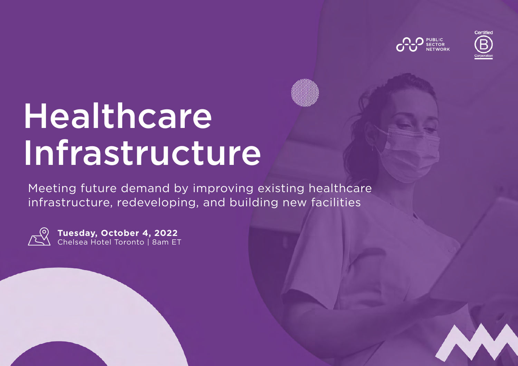



# Healthcare Infrastructure

Meeting future demand by improving existing healthcare infrastructure, redeveloping, and building new facilities



**Tuesday, October 4, 2022** Chelsea Hotel Toronto | 8am ET

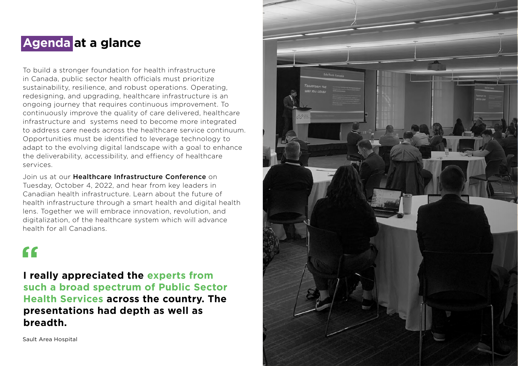### **Agenda at a glance**

To build a stronger foundation for health infrastructure in Canada, public sector health officials must prioritize sustainability, resilience, and robust operations. Operating, redesigning, and upgrading, healthcare infrastructure is an ongoing journey that requires continuous improvement. To continuously improve the quality of care delivered, healthcare infrastructure and systems need to become more integrated to address care needs across the healthcare service continuum. Opportunities must be identified to leverage technology to adapt to the evolving digital landscape with a goal to enhance the deliverability, accessibility, and effiency of healthcare services.

Join us at our Healthcare Infrastructure Conference on Tuesday, October 4, 2022, and hear from key leaders in Canadian health infrastructure. Learn about the future of health infrastructure through a smart health and digital health lens. Together we will embrace innovation, revolution, and digitalization, of the healthcare system which will advance health for all Canadians.

### $\epsilon$

**I really appreciated the experts from such a broad spectrum of Public Sector Health Services across the country. The presentations had depth as well as breadth.**

Sault Area Hospital

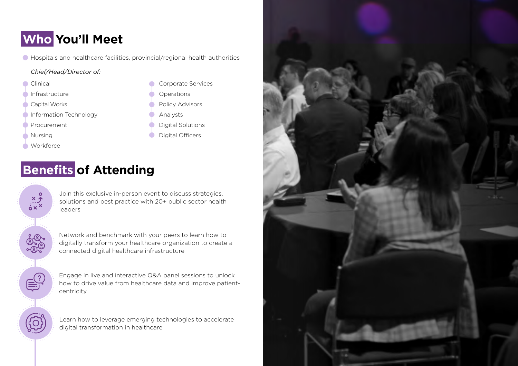### **Who You'll Meet**

Hospitals and healthcare facilities, provincial/regional health authorities

#### *Chief/Head/Director of:*

Clinical

- Infrastructure
- Capital Works
- Information Technology
- Procurement
- Nursing
- **Workforce**

Corporate Services **Operations** Policy Advisors Analysts Digital Solutions Digital Officers

### **Benefits of Attending**

 $x \rightarrow x$ 

solutions and best practice with 20+ public sector health leaders

Join this exclusive in-person event to discuss strategies,



Network and benchmark with your peers to learn how to digitally transform your healthcare organization to create a connected digital healthcare infrastructure

Engage in live and interactive Q&A panel sessions to unlock how to drive value from healthcare data and improve patientcentricity

Learn how to leverage emerging technologies to accelerate digital transformation in healthcare

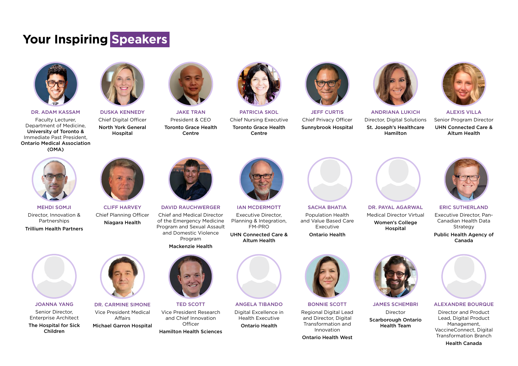### **Your Inspiring Speakers**



DR. ADAM KASSAM Faculty Lecturer, Department of Medicine, University of Toronto & Immediate Past President, Ontario Medical Association (OMA)



DUSKA KENNEDY Chief Digital Officer North York General Hospital



JAKE TRAN President & CEO Toronto Grace Health Centre



PATRICIA SKOL Chief Nursing Executive Toronto Grace Health Centre



JEFF CURTIS Chief Privacy Officer Sunnybrook Hospital



Director, Digital Solutions St. Joseph's Healthcare Hamilton



ALEXIS VILLA Senior Program Director UHN Connected Care & Altum Health



MEHDI SOMJI Director, Innovation & Partnerships Trillium Health Partners



CLIFF HARVEY Chief Planning Officer Niagara Health





DAVID RAUCHWERGER Chief and Medical Director of the Emergency Medicine Program and Sexual Assault and Domestic Violence





TED SCOTT Vice President Research and Chief Innovation **Officer** 

Hamilton Health Sciences



IAN MCDERMOTT Executive Director, Planning & Integration, FM-PRO UHN Connected Care & Altum Health

ANGELA TIBANDO Digital Excellence in Health Executive Ontario Health



BONNIE SCOTT Regional Digital Lead and Director, Digital Transformation and Innovation

Ontario Health West



JAMES SCHEMBRI Director Scarborough Ontario Health Team



ALEXANDRE BOURQUE

Director and Product Lead, Digital Product Management, VaccineConnect, Digital Transformation Branch

Health Canada

SACHA BHATIA Population Health and Value Based Care Executive Ontario Health



DR. PAYAL AGARWAL Medical Director Virtual Women's College Hospital



ERIC SUTHERLAND Executive Director, Pan-Canadian Health Data Strategy Public Health Agency of Canada



JOANNA YANG Senior Director, Enterprise Architect The Hospital for Sick Children



DR. CARMINE SIMONE Vice President Medical Affairs Michael Garron Hospital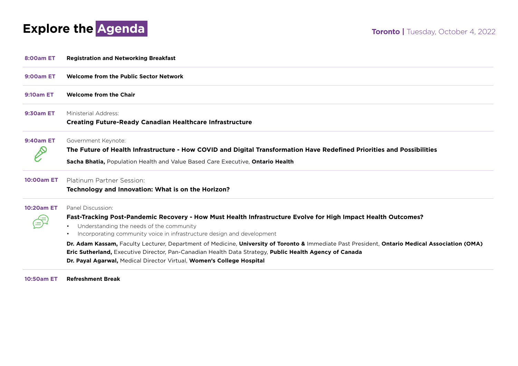

| <b>8:00am ET</b>  | <b>Registration and Networking Breakfast</b>                                                                                                   |
|-------------------|------------------------------------------------------------------------------------------------------------------------------------------------|
| <b>9:00am ET</b>  | Welcome from the Public Sector Network                                                                                                         |
| <b>9:10am ET</b>  | <b>Welcome from the Chair</b>                                                                                                                  |
| <b>9:30am ET</b>  | Ministerial Address:                                                                                                                           |
|                   | <b>Creating Future-Ready Canadian Healthcare Infrastructure</b>                                                                                |
| <b>9:40am ET</b>  | Government Keynote:                                                                                                                            |
|                   | The Future of Health Infrastructure - How COVID and Digital Transformation Have Redefined Priorities and Possibilities                         |
|                   | Sacha Bhatia, Population Health and Value Based Care Executive, Ontario Health                                                                 |
| <b>10:00am ET</b> | Platinum Partner Session:                                                                                                                      |
|                   | Technology and Innovation: What is on the Horizon?                                                                                             |
| <b>10:20am ET</b> | Panel Discussion:                                                                                                                              |
|                   | Fast-Tracking Post-Pandemic Recovery - How Must Health Infrastructure Evolve for High Impact Health Outcomes?                                  |
|                   | Understanding the needs of the community<br>$\bullet$                                                                                          |
|                   | Incorporating community voice in infrastructure design and development<br>$\bullet$                                                            |
|                   | Dr. Adam Kassam, Faculty Lecturer, Department of Medicine, University of Toronto & Immediate Past President, Ontario Medical Association (OMA) |
|                   | Eric Sutherland, Executive Director, Pan-Canadian Health Data Strategy, Public Health Agency of Canada                                         |
|                   | Dr. Payal Agarwal, Medical Director Virtual, Women's College Hospital                                                                          |

**10:50am ET Refreshment Break**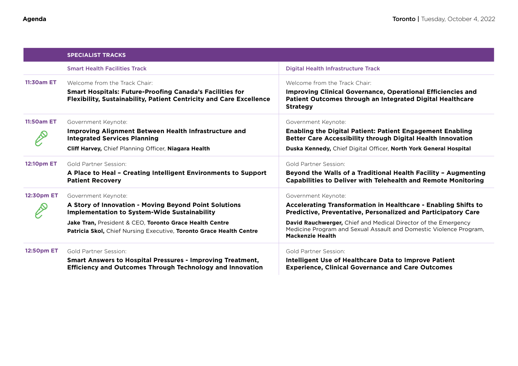|                   | <b>SPECIALIST TRACKS</b>                                                                                                                      |                                                                                                                                                                        |
|-------------------|-----------------------------------------------------------------------------------------------------------------------------------------------|------------------------------------------------------------------------------------------------------------------------------------------------------------------------|
|                   | <b>Smart Health Facilities Track</b>                                                                                                          | <b>Digital Health Infrastructure Track</b>                                                                                                                             |
| <b>11:30am ET</b> | Welcome from the Track Chair:                                                                                                                 | Welcome from the Track Chair:                                                                                                                                          |
|                   | <b>Smart Hospitals: Future-Proofing Canada's Facilities for</b><br><b>Flexibility, Sustainability, Patient Centricity and Care Excellence</b> | Improving Clinical Governance, Operational Efficiencies and<br>Patient Outcomes through an Integrated Digital Healthcare<br><b>Strategy</b>                            |
| 11:50am ET        | Government Keynote:                                                                                                                           | Government Keynote:                                                                                                                                                    |
|                   | Improving Alignment Between Health Infrastructure and<br><b>Integrated Services Planning</b>                                                  | <b>Enabling the Digital Patient: Patient Engagement Enabling</b><br><b>Better Care Accessibility through Digital Health Innovation</b>                                 |
|                   | Cliff Harvey, Chief Planning Officer, Niagara Health                                                                                          | Duska Kennedy, Chief Digital Officer, North York General Hospital                                                                                                      |
| <b>12:10pm ET</b> | Gold Partner Session:                                                                                                                         | Gold Partner Session:                                                                                                                                                  |
|                   | A Place to Heal - Creating Intelligent Environments to Support<br><b>Patient Recovery</b>                                                     | Beyond the Walls of a Traditional Health Facility - Augmenting<br><b>Capabilities to Deliver with Telehealth and Remote Monitoring</b>                                 |
| 12:30pm ET        | Government Keynote:                                                                                                                           | Government Keynote:                                                                                                                                                    |
|                   | A Story of Innovation - Moving Beyond Point Solutions<br><b>Implementation to System-Wide Sustainability</b>                                  | Accelerating Transformation in Healthcare - Enabling Shifts to<br>Predictive, Preventative, Personalized and Participatory Care                                        |
|                   | Jake Tran, President & CEO, Toronto Grace Health Centre<br>Patricia Skol, Chief Nursing Executive, Toronto Grace Health Centre                | <b>David Rauchwerger, Chief and Medical Director of the Emergency</b><br>Medicine Program and Sexual Assault and Domestic Violence Program,<br><b>Mackenzie Health</b> |
| <b>12:50pm ET</b> | Gold Partner Session:                                                                                                                         | Gold Partner Session:                                                                                                                                                  |
|                   | <b>Smart Answers to Hospital Pressures - Improving Treatment,</b><br><b>Efficiency and Outcomes Through Technology and Innovation</b>         | <b>Intelligent Use of Healthcare Data to Improve Patient</b><br><b>Experience, Clinical Governance and Care Outcomes</b>                                               |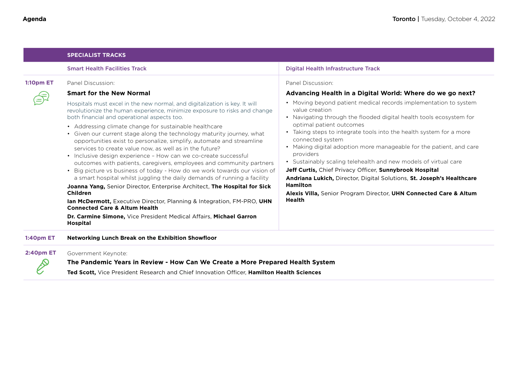|                  | <b>SPECIALIST TRACKS</b>                                                                                                                                                                                                                                                                                                                                                                                                                                                                                                                                                                                                                                                                                                                                                                                                                                                                                                                                                                                                                                                                                    |                                                                                                                                                                                                                                                                                                                                                                                                                                                                                                                                                                                                                                                                                      |  |
|------------------|-------------------------------------------------------------------------------------------------------------------------------------------------------------------------------------------------------------------------------------------------------------------------------------------------------------------------------------------------------------------------------------------------------------------------------------------------------------------------------------------------------------------------------------------------------------------------------------------------------------------------------------------------------------------------------------------------------------------------------------------------------------------------------------------------------------------------------------------------------------------------------------------------------------------------------------------------------------------------------------------------------------------------------------------------------------------------------------------------------------|--------------------------------------------------------------------------------------------------------------------------------------------------------------------------------------------------------------------------------------------------------------------------------------------------------------------------------------------------------------------------------------------------------------------------------------------------------------------------------------------------------------------------------------------------------------------------------------------------------------------------------------------------------------------------------------|--|
|                  | <b>Smart Health Facilities Track</b>                                                                                                                                                                                                                                                                                                                                                                                                                                                                                                                                                                                                                                                                                                                                                                                                                                                                                                                                                                                                                                                                        | Digital Health Infrastructure Track                                                                                                                                                                                                                                                                                                                                                                                                                                                                                                                                                                                                                                                  |  |
| <b>1:10pm ET</b> | Panel Discussion:                                                                                                                                                                                                                                                                                                                                                                                                                                                                                                                                                                                                                                                                                                                                                                                                                                                                                                                                                                                                                                                                                           | Panel Discussion:                                                                                                                                                                                                                                                                                                                                                                                                                                                                                                                                                                                                                                                                    |  |
|                  | <b>Smart for the New Normal</b>                                                                                                                                                                                                                                                                                                                                                                                                                                                                                                                                                                                                                                                                                                                                                                                                                                                                                                                                                                                                                                                                             | Advancing Health in a Digital World: Where do we go next?                                                                                                                                                                                                                                                                                                                                                                                                                                                                                                                                                                                                                            |  |
|                  | Hospitals must excel in the new normal, and digitalization is key. It will<br>revolutionize the human experience, minimize exposure to risks and change<br>both financial and operational aspects too.<br>• Addressing climate change for sustainable healthcare<br>• Given our current stage along the technology maturity journey, what<br>opportunities exist to personalize, simplify, automate and streamline<br>services to create value now, as well as in the future?<br>• Inclusive design experience - How can we co-create successful<br>outcomes with patients, caregivers, employees and community partners<br>• Big picture vs business of today - How do we work towards our vision of<br>a smart hospital whilst juggling the daily demands of running a facility<br>Joanna Yang, Senior Director, Enterprise Architect, The Hospital for Sick<br><b>Children</b><br><b>Ian McDermott, Executive Director, Planning &amp; Integration, FM-PRO, UHN</b><br><b>Connected Care &amp; Altum Health</b><br>Dr. Carmine Simone, Vice President Medical Affairs, Michael Garron<br><b>Hospital</b> | • Moving beyond patient medical records implementation to system<br>value creation<br>• Navigating through the flooded digital health tools ecosystem for<br>optimal patient outcomes<br>• Taking steps to integrate tools into the health system for a more<br>connected system<br>• Making digital adoption more manageable for the patient, and care<br>providers<br>• Sustainably scaling telehealth and new models of virtual care<br>Jeff Curtis, Chief Privacy Officer, Sunnybrook Hospital<br>Andriana Lukich, Director, Digital Solutions, St. Joseph's Healthcare<br><b>Hamilton</b><br>Alexis Villa, Senior Program Director, UHN Connected Care & Altum<br><b>Health</b> |  |
| <b>1:40pm ET</b> | Networking Lunch Break on the Exhibition Showfloor                                                                                                                                                                                                                                                                                                                                                                                                                                                                                                                                                                                                                                                                                                                                                                                                                                                                                                                                                                                                                                                          |                                                                                                                                                                                                                                                                                                                                                                                                                                                                                                                                                                                                                                                                                      |  |
| <b>2:40pm ET</b> | Government Keynote:                                                                                                                                                                                                                                                                                                                                                                                                                                                                                                                                                                                                                                                                                                                                                                                                                                                                                                                                                                                                                                                                                         |                                                                                                                                                                                                                                                                                                                                                                                                                                                                                                                                                                                                                                                                                      |  |
|                  | The Pandemic Years in Review - How Can We Create a More Prepared Health System                                                                                                                                                                                                                                                                                                                                                                                                                                                                                                                                                                                                                                                                                                                                                                                                                                                                                                                                                                                                                              |                                                                                                                                                                                                                                                                                                                                                                                                                                                                                                                                                                                                                                                                                      |  |
|                  | Ted Scott, Vice President Research and Chief Innovation Officer, Hamilton Health Sciences                                                                                                                                                                                                                                                                                                                                                                                                                                                                                                                                                                                                                                                                                                                                                                                                                                                                                                                                                                                                                   |                                                                                                                                                                                                                                                                                                                                                                                                                                                                                                                                                                                                                                                                                      |  |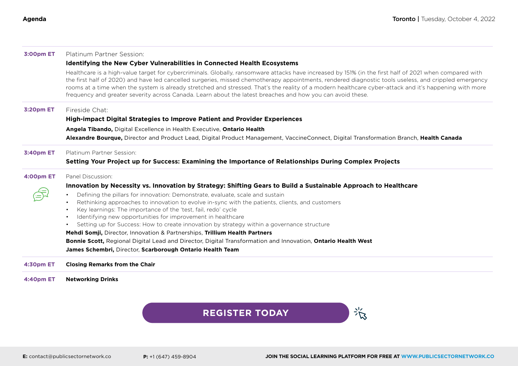| <b>3:00pm ET</b> | Platinum Partner Session:                                                                                                                                                                                                                                                                                                                                                                                                                                                                                                                                                                |
|------------------|------------------------------------------------------------------------------------------------------------------------------------------------------------------------------------------------------------------------------------------------------------------------------------------------------------------------------------------------------------------------------------------------------------------------------------------------------------------------------------------------------------------------------------------------------------------------------------------|
|                  | <b>Identifying the New Cyber Vulnerabilities in Connected Health Ecosystems</b>                                                                                                                                                                                                                                                                                                                                                                                                                                                                                                          |
|                  | Healthcare is a high-value target for cybercriminals. Globally, ransomware attacks have increased by 151% (in the first half of 2021 when compared with<br>the first half of 2020) and have led cancelled surgeries, missed chemotherapy appointments, rendered diagnostic tools useless, and crippled emergency<br>rooms at a time when the system is already stretched and stressed. That's the reality of a modern healthcare cyber-attack and it's happening with more<br>frequency and greater severity across Canada. Learn about the latest breaches and how you can avoid these. |
| <b>3:20pm ET</b> | Fireside Chat:                                                                                                                                                                                                                                                                                                                                                                                                                                                                                                                                                                           |
|                  | High-impact Digital Strategies to Improve Patient and Provider Experiences                                                                                                                                                                                                                                                                                                                                                                                                                                                                                                               |
|                  | Angela Tibando, Digital Excellence in Health Executive, Ontario Health                                                                                                                                                                                                                                                                                                                                                                                                                                                                                                                   |
|                  | Alexandre Bourque, Director and Product Lead, Digital Product Management, VaccineConnect, Digital Transformation Branch, Health Canada                                                                                                                                                                                                                                                                                                                                                                                                                                                   |
| <b>3:40pm ET</b> | Platinum Partner Session:                                                                                                                                                                                                                                                                                                                                                                                                                                                                                                                                                                |
|                  | Setting Your Project up for Success: Examining the Importance of Relationships During Complex Projects                                                                                                                                                                                                                                                                                                                                                                                                                                                                                   |
| <b>4:00pm ET</b> | Panel Discussion:                                                                                                                                                                                                                                                                                                                                                                                                                                                                                                                                                                        |
|                  | Innovation by Necessity vs. Innovation by Strategy: Shifting Gears to Build a Sustainable Approach to Healthcare                                                                                                                                                                                                                                                                                                                                                                                                                                                                         |
|                  | Defining the pillars for innovation: Demonstrate, evaluate, scale and sustain<br>$\bullet$                                                                                                                                                                                                                                                                                                                                                                                                                                                                                               |
|                  | Rethinking approaches to innovation to evolve in-sync with the patients, clients, and customers<br>$\bullet$                                                                                                                                                                                                                                                                                                                                                                                                                                                                             |
|                  | Key learnings: The importance of the 'test, fail, redo' cycle<br>$\bullet$<br>Identifying new opportunities for improvement in healthcare<br>$\bullet$                                                                                                                                                                                                                                                                                                                                                                                                                                   |
|                  | Setting up for Success: How to create innovation by strategy within a governance structure<br>$\bullet$                                                                                                                                                                                                                                                                                                                                                                                                                                                                                  |
|                  | Mehdi Somji, Director, Innovation & Partnerships, Trillium Health Partners                                                                                                                                                                                                                                                                                                                                                                                                                                                                                                               |
|                  | Bonnie Scott, Regional Digital Lead and Director, Digital Transformation and Innovation, Ontario Health West                                                                                                                                                                                                                                                                                                                                                                                                                                                                             |
|                  | James Schembri, Director, Scarborough Ontario Health Team                                                                                                                                                                                                                                                                                                                                                                                                                                                                                                                                |
| <b>4:30pm ET</b> | <b>Closing Remarks from the Chair</b>                                                                                                                                                                                                                                                                                                                                                                                                                                                                                                                                                    |
| <b>4:40pm ET</b> | <b>Networking Drinks</b>                                                                                                                                                                                                                                                                                                                                                                                                                                                                                                                                                                 |

#### **[REGISTER TODAY](https://)**

谈